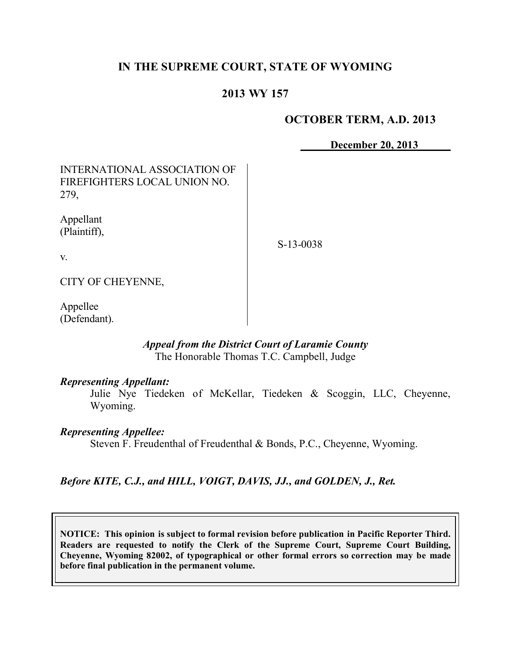# **IN THE SUPREME COURT, STATE OF WYOMING**

### **2013 WY 157**

### **OCTOBER TERM, A.D. 2013**

**December 20, 2013**

# INTERNATIONAL ASSOCIATION OF FIREFIGHTERS LOCAL UNION NO. 279,

Appellant (Plaintiff),

S-13-0038

v.

CITY OF CHEYENNE,

Appellee (Defendant).

#### *Appeal from the District Court of Laramie County* The Honorable Thomas T.C. Campbell, Judge

#### *Representing Appellant:*

Julie Nye Tiedeken of McKellar, Tiedeken & Scoggin, LLC, Cheyenne, Wyoming.

#### *Representing Appellee:*

Steven F. Freudenthal of Freudenthal & Bonds, P.C., Cheyenne, Wyoming.

*Before KITE, C.J., and HILL, VOIGT, DAVIS, JJ., and GOLDEN, J., Ret.*

**NOTICE: This opinion is subject to formal revision before publication in Pacific Reporter Third. Readers are requested to notify the Clerk of the Supreme Court, Supreme Court Building, Cheyenne, Wyoming 82002, of typographical or other formal errors so correction may be made before final publication in the permanent volume.**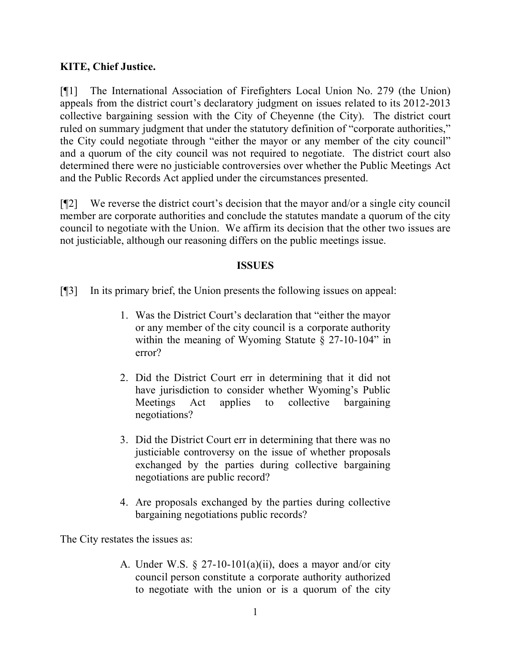### **KITE, Chief Justice.**

[¶1] The International Association of Firefighters Local Union No. 279 (the Union) appeals from the district court's declaratory judgment on issues related to its 2012-2013 collective bargaining session with the City of Cheyenne (the City). The district court ruled on summary judgment that under the statutory definition of "corporate authorities," the City could negotiate through "either the mayor or any member of the city council" and a quorum of the city council was not required to negotiate. The district court also determined there were no justiciable controversies over whether the Public Meetings Act and the Public Records Act applied under the circumstances presented.

[¶2] We reverse the district court's decision that the mayor and/or a single city council member are corporate authorities and conclude the statutes mandate a quorum of the city council to negotiate with the Union. We affirm its decision that the other two issues are not justiciable, although our reasoning differs on the public meetings issue.

### **ISSUES**

[¶3] In its primary brief, the Union presents the following issues on appeal:

- 1. Was the District Court's declaration that "either the mayor or any member of the city council is a corporate authority within the meaning of Wyoming Statute § 27-10-104" in error?
- 2. Did the District Court err in determining that it did not have jurisdiction to consider whether Wyoming's Public Meetings Act applies to collective bargaining negotiations?
- 3. Did the District Court err in determining that there was no justiciable controversy on the issue of whether proposals exchanged by the parties during collective bargaining negotiations are public record?
- 4. Are proposals exchanged by the parties during collective bargaining negotiations public records?

The City restates the issues as:

A. Under W.S.  $\S 27-10-101(a)(ii)$ , does a mayor and/or city council person constitute a corporate authority authorized to negotiate with the union or is a quorum of the city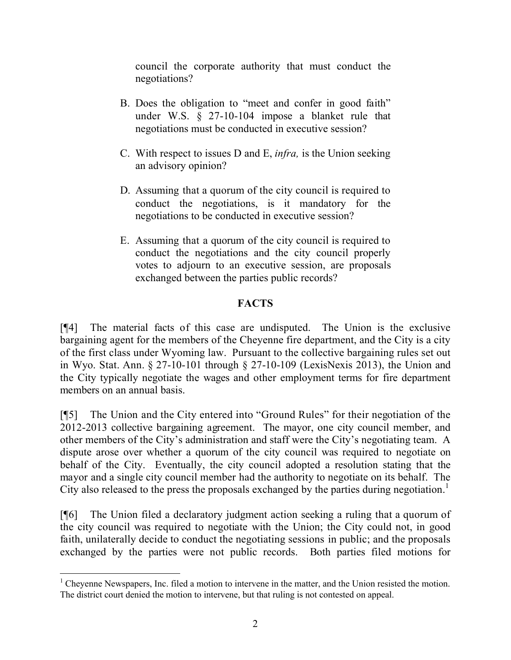council the corporate authority that must conduct the negotiations?

- B. Does the obligation to "meet and confer in good faith" under W.S. § 27-10-104 impose a blanket rule that negotiations must be conducted in executive session?
- C. With respect to issues D and E, *infra,* is the Union seeking an advisory opinion?
- D. Assuming that a quorum of the city council is required to conduct the negotiations, is it mandatory for the negotiations to be conducted in executive session?
- E. Assuming that a quorum of the city council is required to conduct the negotiations and the city council properly votes to adjourn to an executive session, are proposals exchanged between the parties public records?

### **FACTS**

[¶4] The material facts of this case are undisputed. The Union is the exclusive bargaining agent for the members of the Cheyenne fire department, and the City is a city of the first class under Wyoming law. Pursuant to the collective bargaining rules set out in Wyo. Stat. Ann. § 27-10-101 through § 27-10-109 (LexisNexis 2013), the Union and the City typically negotiate the wages and other employment terms for fire department members on an annual basis.

[¶5] The Union and the City entered into "Ground Rules" for their negotiation of the 2012-2013 collective bargaining agreement. The mayor, one city council member, and other members of the City's administration and staff were the City's negotiating team. A dispute arose over whether a quorum of the city council was required to negotiate on behalf of the City. Eventually, the city council adopted a resolution stating that the mayor and a single city council member had the authority to negotiate on its behalf. The City also released to the press the proposals exchanged by the parties during negotiation. 1

[¶6] The Union filed a declaratory judgment action seeking a ruling that a quorum of the city council was required to negotiate with the Union; the City could not, in good faith, unilaterally decide to conduct the negotiating sessions in public; and the proposals exchanged by the parties were not public records. Both parties filed motions for

 $1$  Cheyenne Newspapers, Inc. filed a motion to intervene in the matter, and the Union resisted the motion. The district court denied the motion to intervene, but that ruling is not contested on appeal.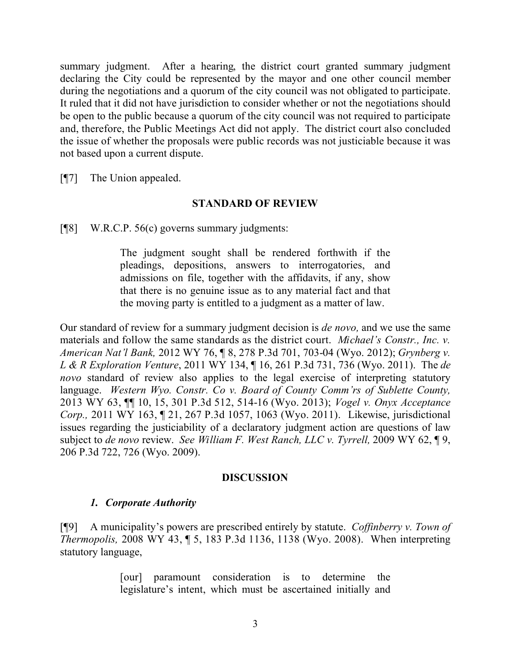summary judgment. After a hearing, the district court granted summary judgment declaring the City could be represented by the mayor and one other council member during the negotiations and a quorum of the city council was not obligated to participate. It ruled that it did not have jurisdiction to consider whether or not the negotiations should be open to the public because a quorum of the city council was not required to participate and, therefore, the Public Meetings Act did not apply. The district court also concluded the issue of whether the proposals were public records was not justiciable because it was not based upon a current dispute.

[¶7] The Union appealed.

### **STANDARD OF REVIEW**

[¶8] W.R.C.P. 56(c) governs summary judgments:

The judgment sought shall be rendered forthwith if the pleadings, depositions, answers to interrogatories, and admissions on file, together with the affidavits, if any, show that there is no genuine issue as to any material fact and that the moving party is entitled to a judgment as a matter of law.

Our standard of review for a summary judgment decision is *de novo,* and we use the same materials and follow the same standards as the district court. *Michael's Constr., Inc. v. American Nat'l Bank,* 2012 WY 76, ¶ 8, 278 P.3d 701, 703-04 (Wyo. 2012); *Grynberg v. L & R Exploration Venture*, 2011 WY 134, ¶ 16, 261 P.3d 731, 736 (Wyo. 2011). The *de novo* standard of review also applies to the legal exercise of interpreting statutory language. *Western Wyo. Constr. Co v. Board of County Comm'rs of Sublette County,*  2013 WY 63, ¶¶ 10, 15, 301 P.3d 512, 514-16 (Wyo. 2013); *Vogel v. Onyx Acceptance Corp.,* 2011 WY 163, ¶ 21, 267 P.3d 1057, 1063 (Wyo. 2011). Likewise, jurisdictional issues regarding the justiciability of a declaratory judgment action are questions of law subject to *de novo* review. *See William F. West Ranch, LLC v. Tyrrell,* 2009 WY 62, ¶ 9, 206 P.3d 722, 726 (Wyo. 2009).

#### **DISCUSSION**

### *1. Corporate Authority*

[¶9] A municipality's powers are prescribed entirely by statute. *Coffinberry v. Town of Thermopolis,* 2008 WY 43, ¶ 5, 183 P.3d 1136, 1138 (Wyo. 2008). When interpreting statutory language,

> [our] paramount consideration is to determine the legislature's intent, which must be ascertained initially and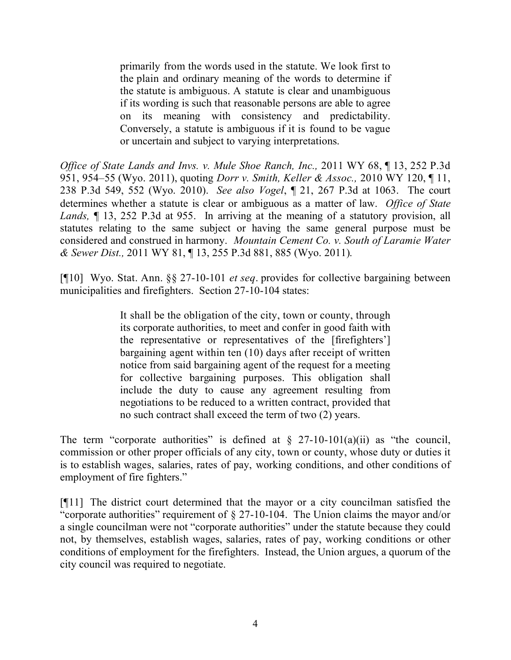primarily from the words used in the statute. We look first to the plain and ordinary meaning of the words to determine if the statute is ambiguous. A statute is clear and unambiguous if its wording is such that reasonable persons are able to agree on its meaning with consistency and predictability. Conversely, a statute is ambiguous if it is found to be vague or uncertain and subject to varying interpretations.

*Office of State Lands and Invs. v. Mule Shoe Ranch, Inc.,* 2011 WY 68, ¶ 13, 252 P.3d 951, 954–55 (Wyo. 2011), quoting *Dorr v. Smith, Keller & Assoc.,* 2010 WY 120, ¶ 11, 238 P.3d 549, 552 (Wyo. 2010). *See also Vogel*, ¶ 21, 267 P.3d at 1063. The court determines whether a statute is clear or ambiguous as a matter of law. *Office of State Lands,* ¶ 13, 252 P.3d at 955. In arriving at the meaning of a statutory provision, all statutes relating to the same subject or having the same general purpose must be considered and construed in harmony. *Mountain Cement Co. v. South of Laramie Water & Sewer Dist.,* 2011 WY 81, ¶ 13, 255 P.3d 881, 885 (Wyo. 2011).

[¶10] Wyo. Stat. Ann. §§ 27-10-101 *et seq*. provides for collective bargaining between municipalities and firefighters. Section 27-10-104 states:

> It shall be the obligation of the city, town or county, through its corporate authorities, to meet and confer in good faith with the representative or representatives of the [firefighters'] bargaining agent within ten (10) days after receipt of written notice from said bargaining agent of the request for a meeting for collective bargaining purposes. This obligation shall include the duty to cause any agreement resulting from negotiations to be reduced to a written contract, provided that no such contract shall exceed the term of two (2) years.

The term "corporate authorities" is defined at  $\S$  27-10-101(a)(ii) as "the council, commission or other proper officials of any city, town or county, whose duty or duties it is to establish wages, salaries, rates of pay, working conditions, and other conditions of employment of fire fighters."

[¶11] The district court determined that the mayor or a city councilman satisfied the "corporate authorities" requirement of  $\S 27$ -10-104. The Union claims the mayor and/or a single councilman were not "corporate authorities" under the statute because they could not, by themselves, establish wages, salaries, rates of pay, working conditions or other conditions of employment for the firefighters. Instead, the Union argues, a quorum of the city council was required to negotiate.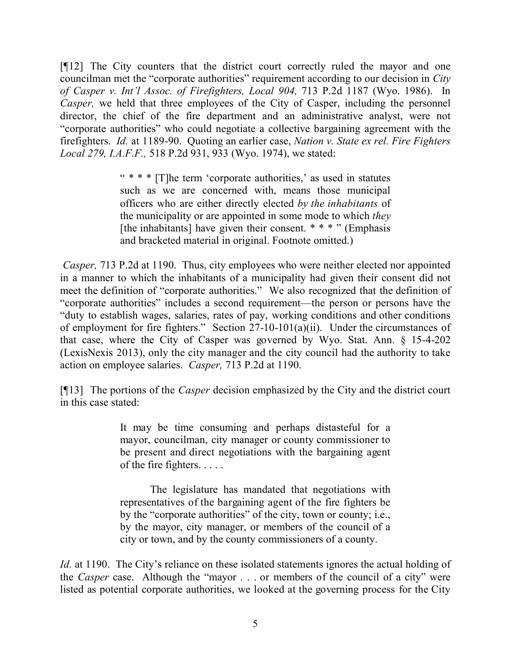[¶12] The City counters that the district court correctly ruled the mayor and one councilman met the "corporate authorities" requirement according to our decision in *City of Casper v. Int'l Assoc. of Firefighters, Local 904,* 713 P.2d 1187 (Wyo. 1986). In *Casper*, we held that three employees of the City of Casper, including the personnel director, the chief of the fire department and an administrative analyst, were not "corporate authorities" who could negotiate a collective bargaining agreement with the firefighters. *Id.* at 1189-90. Quoting an earlier case, *Nation v. State ex rel. Fire Fighters Local 279, I.A.F.F.,* 518 P.2d 931, 933 (Wyo. 1974), we stated:

> " \* \* \* [T]he term 'corporate authorities,' as used in statutes such as we are concerned with, means those municipal officers who are either directly elected *by the inhabitants* of the municipality or are appointed in some mode to which *they* [the inhabitants] have given their consent.  $* * * "$  (Emphasis and bracketed material in original. Footnote omitted.)

*Casper,* 713 P.2d at 1190. Thus, city employees who were neither elected nor appointed in a manner to which the inhabitants of a municipality had given their consent did not meet the definition of "corporate authorities." We also recognized that the definition of "corporate authorities" includes a second requirement—the person or persons have the "duty to establish wages, salaries, rates of pay, working conditions and other conditions of employment for fire fighters." Section 27-10-101(a)(ii). Under the circumstances of that case, where the City of Casper was governed by Wyo. Stat. Ann. § 15-4-202 (LexisNexis 2013), only the city manager and the city council had the authority to take action on employee salaries. *Casper,* 713 P.2d at 1190.

[¶13] The portions of the *Casper* decision emphasized by the City and the district court in this case stated:

> It may be time consuming and perhaps distasteful for a mayor, councilman, city manager or county commissioner to be present and direct negotiations with the bargaining agent of the fire fighters. . . . .

> The legislature has mandated that negotiations with representatives of the bargaining agent of the fire fighters be by the "corporate authorities" of the city, town or county; i.e., by the mayor, city manager, or members of the council of a city or town, and by the county commissioners of a county.

*Id.* at 1190. The City's reliance on these isolated statements ignores the actual holding of the *Casper* case. Although the "mayor . . . or members of the council of a city" were listed as potential corporate authorities, we looked at the governing process for the City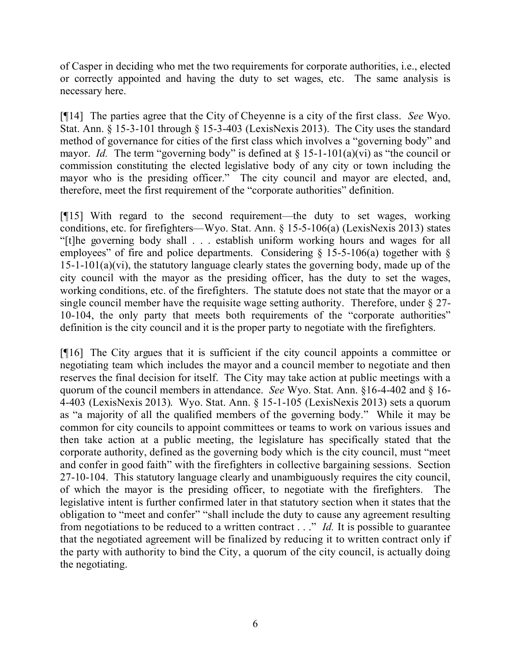of Casper in deciding who met the two requirements for corporate authorities, i.e., elected or correctly appointed and having the duty to set wages, etc. The same analysis is necessary here.

[¶14] The parties agree that the City of Cheyenne is a city of the first class. *See* Wyo. Stat. Ann. § 15-3-101 through § 15-3-403 (LexisNexis 2013). The City uses the standard method of governance for cities of the first class which involves a "governing body" and mayor. *Id.* The term "governing body" is defined at  $\S 15$ -1-101(a)(vi) as "the council or commission constituting the elected legislative body of any city or town including the mayor who is the presiding officer." The city council and mayor are elected, and, therefore, meet the first requirement of the "corporate authorities" definition.

[¶15] With regard to the second requirement—the duty to set wages, working conditions, etc. for firefighters—Wyo. Stat. Ann. § 15-5-106(a) (LexisNexis 2013) states "[t]he governing body shall . . . establish uniform working hours and wages for all employees" of fire and police departments. Considering  $\S$  15-5-106(a) together with  $\S$ 15-1-101(a)(vi), the statutory language clearly states the governing body, made up of the city council with the mayor as the presiding officer, has the duty to set the wages, working conditions, etc. of the firefighters. The statute does not state that the mayor or a single council member have the requisite wage setting authority. Therefore, under § 27- 10-104, the only party that meets both requirements of the "corporate authorities" definition is the city council and it is the proper party to negotiate with the firefighters.

[¶16] The City argues that it is sufficient if the city council appoints a committee or negotiating team which includes the mayor and a council member to negotiate and then reserves the final decision for itself. The City may take action at public meetings with a quorum of the council members in attendance. *See* Wyo. Stat. Ann. §16-4-402 and § 16- 4-403 (LexisNexis 2013). Wyo. Stat. Ann. § 15-1-105 (LexisNexis 2013) sets a quorum as "a majority of all the qualified members of the governing body." While it may be common for city councils to appoint committees or teams to work on various issues and then take action at a public meeting, the legislature has specifically stated that the corporate authority, defined as the governing body which is the city council, must "meet and confer in good faith" with the firefighters in collective bargaining sessions. Section 27-10-104. This statutory language clearly and unambiguously requires the city council, of which the mayor is the presiding officer, to negotiate with the firefighters. The legislative intent is further confirmed later in that statutory section when it states that the obligation to "meet and confer" "shall include the duty to cause any agreement resulting from negotiations to be reduced to a written contract . . ." *Id.* It is possible to guarantee that the negotiated agreement will be finalized by reducing it to written contract only if the party with authority to bind the City, a quorum of the city council, is actually doing the negotiating.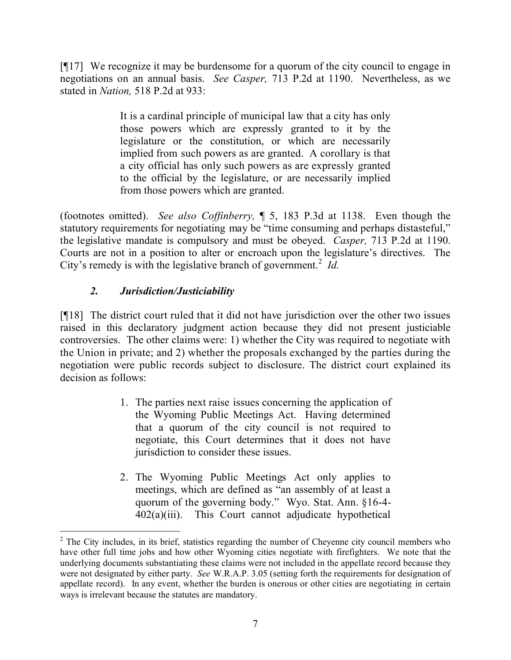[¶17] We recognize it may be burdensome for a quorum of the city council to engage in negotiations on an annual basis. *See Casper,* 713 P.2d at 1190. Nevertheless, as we stated in *Nation,* 518 P.2d at 933:

> It is a cardinal principle of municipal law that a city has only those powers which are expressly granted to it by the legislature or the constitution, or which are necessarily implied from such powers as are granted. A corollary is that a city official has only such powers as are expressly granted to the official by the legislature, or are necessarily implied from those powers which are granted.

(footnotes omitted). *See also Coffinberry,* ¶ 5, 183 P.3d at 1138. Even though the statutory requirements for negotiating may be "time consuming and perhaps distasteful," the legislative mandate is compulsory and must be obeyed. *Casper,* 713 P.2d at 1190. Courts are not in a position to alter or encroach upon the legislature's directives. The City's remedy is with the legislative branch of government.<sup>2</sup> Id.

# *2. Jurisdiction/Justiciability*

 $\overline{a}$ 

[¶18] The district court ruled that it did not have jurisdiction over the other two issues raised in this declaratory judgment action because they did not present justiciable controversies. The other claims were: 1) whether the City was required to negotiate with the Union in private; and 2) whether the proposals exchanged by the parties during the negotiation were public records subject to disclosure. The district court explained its decision as follows:

- 1. The parties next raise issues concerning the application of the Wyoming Public Meetings Act. Having determined that a quorum of the city council is not required to negotiate, this Court determines that it does not have jurisdiction to consider these issues.
- 2. The Wyoming Public Meetings Act only applies to meetings, which are defined as "an assembly of at least a quorum of the governing body." Wyo. Stat. Ann. §16-4- 402(a)(iii). This Court cannot adjudicate hypothetical

<sup>&</sup>lt;sup>2</sup> The City includes, in its brief, statistics regarding the number of Cheyenne city council members who have other full time jobs and how other Wyoming cities negotiate with firefighters. We note that the underlying documents substantiating these claims were not included in the appellate record because they were not designated by either party. *See* W.R.A.P. 3.05 (setting forth the requirements for designation of appellate record). In any event, whether the burden is onerous or other cities are negotiating in certain ways is irrelevant because the statutes are mandatory.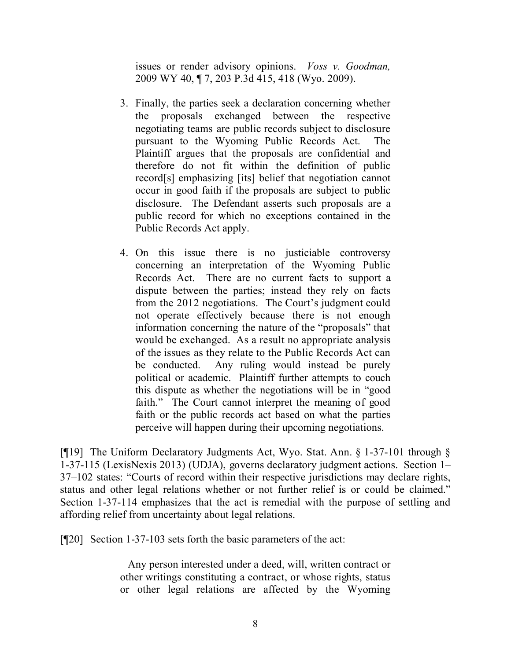issues or render advisory opinions. *Voss v. Goodman,*  2009 WY 40, ¶ 7, 203 P.3d 415, 418 (Wyo. 2009).

- 3. Finally, the parties seek a declaration concerning whether the proposals exchanged between the respective negotiating teams are public records subject to disclosure pursuant to the Wyoming Public Records Act. The Plaintiff argues that the proposals are confidential and therefore do not fit within the definition of public record[s] emphasizing [its] belief that negotiation cannot occur in good faith if the proposals are subject to public disclosure. The Defendant asserts such proposals are a public record for which no exceptions contained in the Public Records Act apply.
- 4. On this issue there is no justiciable controversy concerning an interpretation of the Wyoming Public Records Act. There are no current facts to support a dispute between the parties; instead they rely on facts from the 2012 negotiations. The Court's judgment could not operate effectively because there is not enough information concerning the nature of the "proposals" that would be exchanged. As a result no appropriate analysis of the issues as they relate to the Public Records Act can be conducted. Any ruling would instead be purely political or academic. Plaintiff further attempts to couch this dispute as whether the negotiations will be in "good faith." The Court cannot interpret the meaning of good faith or the public records act based on what the parties perceive will happen during their upcoming negotiations.

[¶19] The Uniform Declaratory Judgments Act, Wyo. Stat. Ann. § 1-37-101 through § 1-37-115 (LexisNexis 2013) (UDJA), governs declaratory judgment actions. Section 1– 37–102 states: "Courts of record within their respective jurisdictions may declare rights, status and other legal relations whether or not further relief is or could be claimed." Section 1-37-114 emphasizes that the act is remedial with the purpose of settling and affording relief from uncertainty about legal relations.

[¶20] Section 1-37-103 sets forth the basic parameters of the act:

Any person interested under a deed, will, written contract or other writings constituting a contract, or whose rights, status or other legal relations are affected by the Wyoming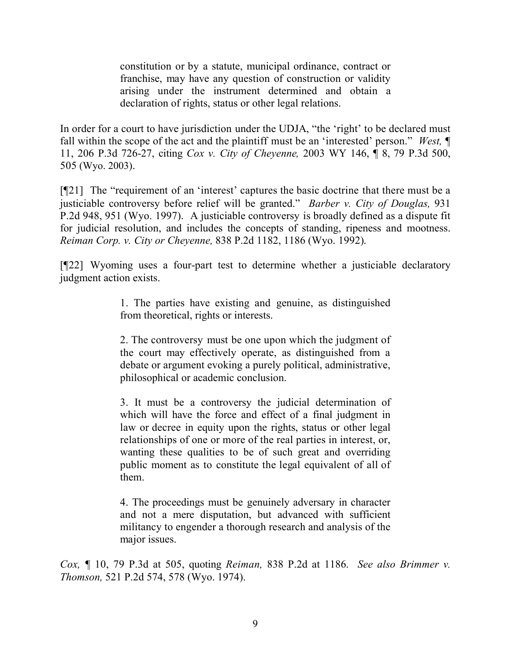constitution or by a statute, municipal ordinance, contract or franchise, may have any question of construction or validity arising under the instrument determined and obtain a declaration of rights, status or other legal relations.

In order for a court to have jurisdiction under the UDJA, "the 'right' to be declared must fall within the scope of the act and the plaintiff must be an 'interested' person." *West, ¶*  11, 206 P.3d 726-27, citing *Cox v. City of Cheyenne,* 2003 WY 146, ¶ 8, 79 P.3d 500, 505 (Wyo. 2003).

[¶21] The "requirement of an 'interest' captures the basic doctrine that there must be a justiciable controversy before relief will be granted." *Barber v. City of Douglas,* 931 P.2d 948, 951 (Wyo. 1997). A justiciable controversy is broadly defined as a dispute fit for judicial resolution, and includes the concepts of standing, ripeness and mootness. *Reiman Corp. v. City or Cheyenne,* 838 P.2d 1182, 1186 (Wyo. 1992).

[¶22] Wyoming uses a four-part test to determine whether a justiciable declaratory judgment action exists.

> 1. The parties have existing and genuine, as distinguished from theoretical, rights or interests.

> 2. The controversy must be one upon which the judgment of the court may effectively operate, as distinguished from a debate or argument evoking a purely political, administrative, philosophical or academic conclusion.

> 3. It must be a controversy the judicial determination of which will have the force and effect of a final judgment in law or decree in equity upon the rights, status or other legal relationships of one or more of the real parties in interest, or, wanting these qualities to be of such great and overriding public moment as to constitute the legal equivalent of all of them.

> 4. The proceedings must be genuinely adversary in character and not a mere disputation, but advanced with sufficient militancy to engender a thorough research and analysis of the major issues.

*Cox, ¶* 10, 79 P.3d at 505, quoting *Reiman,* 838 P.2d at 1186. *See also Brimmer v. Thomson,* 521 P.2d 574, 578 (Wyo. 1974).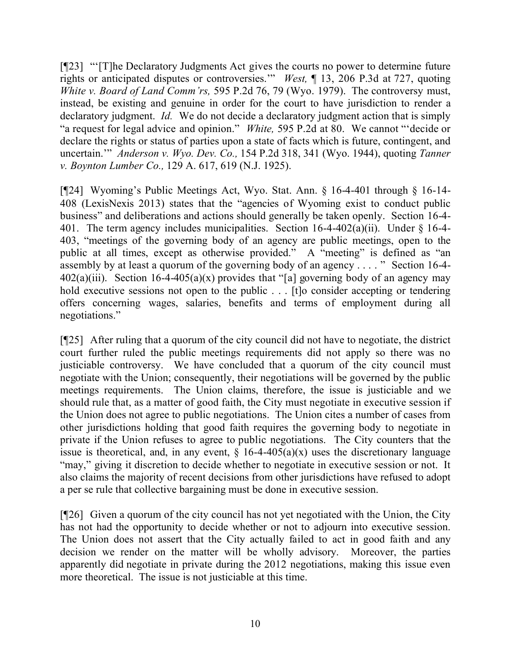[¶23] "'[T]he Declaratory Judgments Act gives the courts no power to determine future rights or anticipated disputes or controversies.'" *West,* ¶ 13, 206 P.3d at 727, quoting *White v. Board of Land Comm'rs,* 595 P.2d 76, 79 (Wyo. 1979). The controversy must, instead, be existing and genuine in order for the court to have jurisdiction to render a declaratory judgment. *Id.* We do not decide a declaratory judgment action that is simply "a request for legal advice and opinion." *White,* 595 P.2d at 80. We cannot "'decide or declare the rights or status of parties upon a state of facts which is future, contingent, and uncertain.'" *Anderson v. Wyo. Dev. Co.,* 154 P.2d 318, 341 (Wyo. 1944), quoting *Tanner v. Boynton Lumber Co.,* 129 A. 617, 619 (N.J. 1925).

[¶24] Wyoming's Public Meetings Act, Wyo. Stat. Ann. § 16-4-401 through § 16-14- 408 (LexisNexis 2013) states that the "agencies of Wyoming exist to conduct public business" and deliberations and actions should generally be taken openly. Section 16-4- 401. The term agency includes municipalities. Section 16-4-402(a)(ii). Under § 16-4- 403, "meetings of the governing body of an agency are public meetings, open to the public at all times, except as otherwise provided." A "meeting" is defined as "an assembly by at least a quorum of the governing body of an agency . . . . " Section 16-4- 402(a)(iii). Section 16-4-405(a)(x) provides that "[a] governing body of an agency may hold executive sessions not open to the public . . . [t]o consider accepting or tendering offers concerning wages, salaries, benefits and terms of employment during all negotiations."

[¶25] After ruling that a quorum of the city council did not have to negotiate, the district court further ruled the public meetings requirements did not apply so there was no justiciable controversy. We have concluded that a quorum of the city council must negotiate with the Union; consequently, their negotiations will be governed by the public meetings requirements. The Union claims, therefore, the issue is justiciable and we should rule that, as a matter of good faith, the City must negotiate in executive session if the Union does not agree to public negotiations. The Union cites a number of cases from other jurisdictions holding that good faith requires the governing body to negotiate in private if the Union refuses to agree to public negotiations. The City counters that the issue is theoretical, and, in any event,  $\S$  16-4-405(a)(x) uses the discretionary language "may," giving it discretion to decide whether to negotiate in executive session or not. It also claims the majority of recent decisions from other jurisdictions have refused to adopt a per se rule that collective bargaining must be done in executive session.

[¶26] Given a quorum of the city council has not yet negotiated with the Union, the City has not had the opportunity to decide whether or not to adjourn into executive session. The Union does not assert that the City actually failed to act in good faith and any decision we render on the matter will be wholly advisory. Moreover, the parties apparently did negotiate in private during the 2012 negotiations, making this issue even more theoretical. The issue is not justiciable at this time.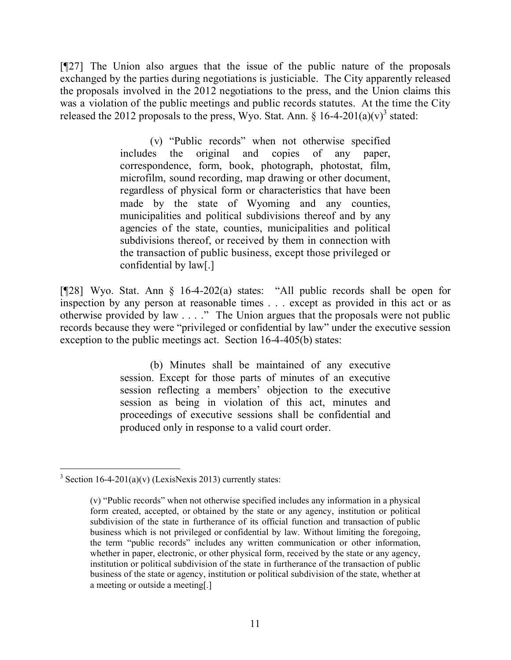[¶27] The Union also argues that the issue of the public nature of the proposals exchanged by the parties during negotiations is justiciable. The City apparently released the proposals involved in the 2012 negotiations to the press, and the Union claims this was a violation of the public meetings and public records statutes. At the time the City released the 2012 proposals to the press, Wyo. Stat. Ann. § 16-4-201(a)(v)<sup>3</sup> stated:

> (v) "Public records" when not otherwise specified includes the original and copies of any paper, correspondence, form, book, photograph, photostat, film, microfilm, sound recording, map drawing or other document, regardless of physical form or characteristics that have been made by the state of Wyoming and any counties, municipalities and political subdivisions thereof and by any agencies of the state, counties, municipalities and political subdivisions thereof, or received by them in connection with the transaction of public business, except those privileged or confidential by law[.]

[¶28] Wyo. Stat. Ann § 16-4-202(a) states: "All public records shall be open for inspection by any person at reasonable times . . . except as provided in this act or as otherwise provided by law . . . ." The Union argues that the proposals were not public records because they were "privileged or confidential by law" under the executive session exception to the public meetings act. Section 16-4-405(b) states:

> (b) Minutes shall be maintained of any executive session. Except for those parts of minutes of an executive session reflecting a members' objection to the executive session as being in violation of this act, minutes and proceedings of executive sessions shall be confidential and produced only in response to a valid court order.

 $3 \text{ Section } 16-4-201(a)(v)$  (LexisNexis 2013) currently states:

<sup>(</sup>v) "Public records" when not otherwise specified includes any information in a physical form created, accepted, or obtained by the state or any agency, institution or political subdivision of the state in furtherance of its official function and transaction of public business which is not privileged or confidential by law. Without limiting the foregoing, the term "public records" includes any written communication or other information, whether in paper, electronic, or other physical form, received by the state or any agency, institution or political subdivision of the state in furtherance of the transaction of public business of the state or agency, institution or political subdivision of the state, whether at a meeting or outside a meeting[.]